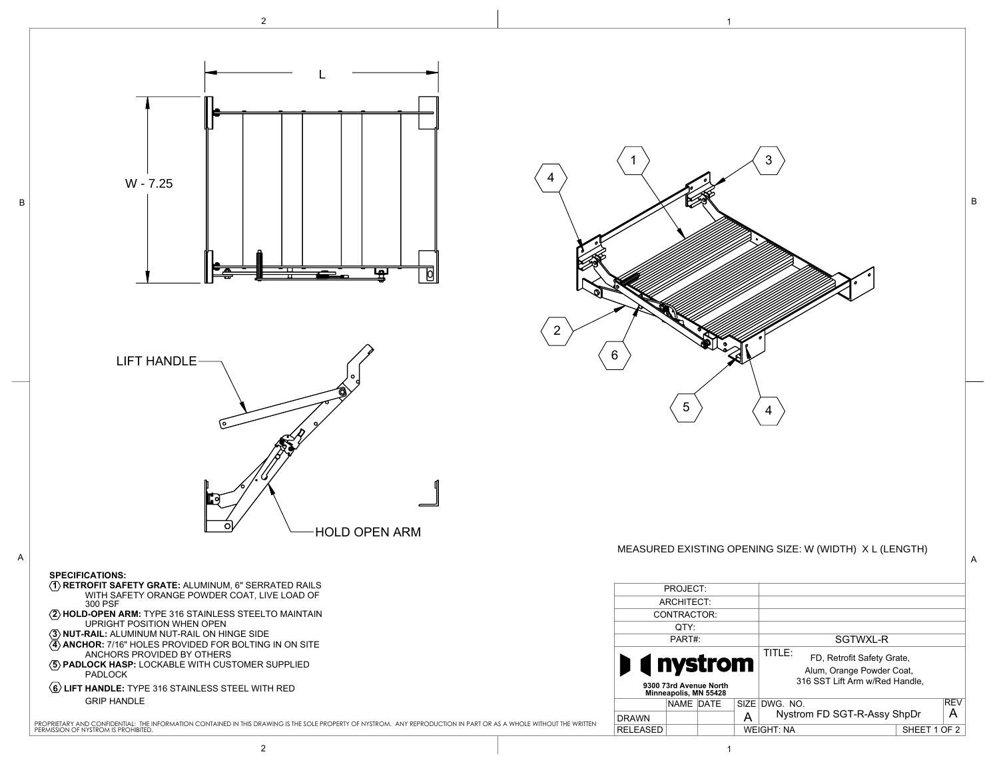



GRIP HANDLE

B

PROPRIETARY AND CONFIDENTIAL: THE INFORMATION CONTAINED IN THIS DRAWING IS THE SOLE PROPERTY OF NYSTROM. ANY REPRODUCTION IN PART OR AS A WHOLE WITHOUT THE WRITTEN<br>PERMISSION OF NYSTROM IS PROHIBITED.

## MEASURED EXISTING OPENING SIZE: W (WIDTH) X L (LENGTH)

3

B

| PROJECT:                                                              |           |  |   |                                                                                                     |              |            |
|-----------------------------------------------------------------------|-----------|--|---|-----------------------------------------------------------------------------------------------------|--------------|------------|
| ARCHITECT:                                                            |           |  |   |                                                                                                     |              |            |
| CONTRACTOR:                                                           |           |  |   |                                                                                                     |              |            |
| OTY:                                                                  |           |  |   |                                                                                                     |              |            |
| PART#:                                                                |           |  |   | SGTWXL-R                                                                                            |              |            |
| <b>I</b> (inystrom<br>9300 73rd Avenue North<br>Minneapolis, MN 55428 |           |  |   | TITLE:<br>FD. Retrofit Safety Grate.<br>Alum, Orange Powder Coat,<br>316 SST Lift Arm w/Red Handle. |              |            |
|                                                                       | NAME DATE |  |   | SIZE DWG. NO.                                                                                       |              | <b>REV</b> |
| <b>DRAWN</b>                                                          |           |  | А | Nystrom FD SGT-R-Assy ShpDr<br>А                                                                    |              |            |
| <b>RELEASED</b>                                                       |           |  |   | <b>WEIGHT: NA</b>                                                                                   | SHEET 1 OF 2 |            |

 $5$   $\left\langle 4\right\rangle$ 

1

6